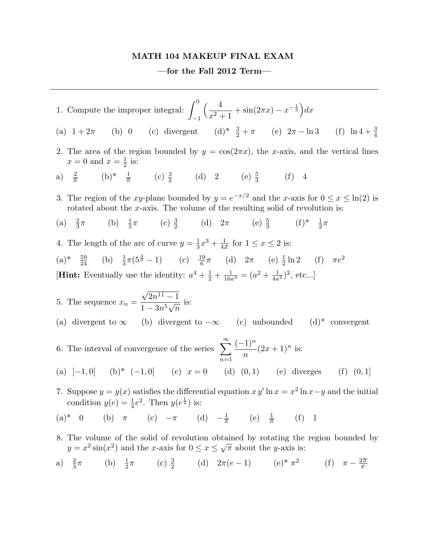## MATH 104 MAKEUP FINAL EXAM

## —for the Fall 2012 Term—

1. Compute the improper integral:  $\int_0^0$ −1  $(1 \frac{4}{x^2+1} + \sin(2\pi x) - x^{-\frac{1}{3}} dx$ (a)  $1 + 2\pi$  (b) 0 (c) divergent  $\frac{3}{2} + \pi$  (e)  $2\pi - \ln 3$  (f)  $\ln 4 + \frac{3}{4}$ (f)  $\ln 4 + \frac{3}{4}$ 2. The area of the region bounded by  $y = \cos(2\pi x)$ , the x-axis, and the vertical lines  $x=0$  and  $x=\frac{1}{2}$  $rac{1}{2}$  is: a)  $\frac{2}{\pi}$  (b)\*  $\frac{1}{\pi}$  (c)  $\frac{3}{2}$  (d) 2 (e)  $\frac{5}{3}$  (f) 4 3. The region of the xy-plane bounded by  $y = e^{-x/2}$  and the x-axis for  $0 \le x \le \ln(2)$  is rotated about the  $x$ -axis. The volume of the resulting solid of revolution is: (a)  $\frac{2}{3}$ π (b)  $\frac{1}{3}\pi$  (c)  $\frac{3}{2}$  (d)  $2\pi$  (e)  $\frac{5}{3}$  (f)\*  $\frac{1}{2}\pi$ 4. The length of the arc of curve  $y=\frac{1}{3}$  $\frac{1}{3}x^3 + \frac{1}{4x}$  for  $1 \le x \le 2$  is:  $(a)^{*}$   $\frac{59}{24}$  (b)  $\frac{1}{3}\pi(5^{\frac{3}{2}}-1)$  (c)  $\frac{19}{6}\pi$  (d)  $2\pi$  (e)  $\frac{1}{2}\ln 2$  (f)  $\pi e^{2}$ **[Hint:** Eventually use the identity:  $a^4 + \frac{1}{2}$  $\frac{1}{2} + \frac{1}{16a^4} = (a^2 + \frac{1}{4a^2})^2$ , etc...] 5. The sequence  $x_n =$ √  $2n^{11} - 1$  $1 - 3n^5$ √  $\overline{n}$ is: (a) divergent to  $\infty$  (b) divergent to  $-\infty$  (c) unbounded (d)\* convergent 6. The interval of convergence of the series  $\sum_{n=1}^{\infty}$  $n=1$  $(-1)^n$  $\overline{n}$  $(2x+1)^n$  is: (a)  $[-1, 0]$  (b)\*  $(-1, 0]$  (c)  $x = 0$  (d)  $(0, 1)$  (e) diverges (f)  $(0, 1]$ 7. Suppose  $y = y(x)$  satisfies the differential equation  $xy'$  ln  $x = x^2 \ln x - y$  and the initial condition  $y(e) = \frac{1}{4}e^2$ . Then  $y(e^{\frac{1}{2}})$  is: (a)\* 0 (b)  $\pi$  (c)  $-\pi$  (d)  $-\frac{1}{\pi}$  (e)  $\frac{1}{\pi}$  $(f)$  1 8. The volume of the solid of revolution obtained by rotating the region bounded by  $y = x^2 \sin(x^2)$  and the x-axis for  $0 \le x \le$ ≀ud<br>∕  $\overline{\pi}$  about the *y*-axis is: a)  $\frac{2}{3}$  $\pi$  (b)  $\frac{1}{2}$  $π$  (c)  $\frac{3}{2}$  (d)  $2π(e-1)$  (e)\*  $π^2$  (f)  $π - \frac{2π}{e}$  $\frac{1}{e}$